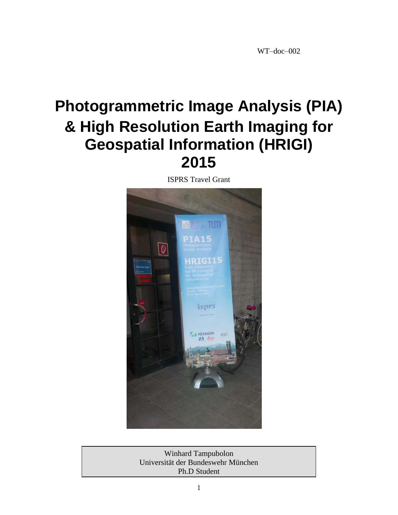# **Photogrammetric Image Analysis (PIA) & High Resolution Earth Imaging for Geospatial Information (HRIGI) 2015**

ISPRS Travel Grant



Winhard Tampubolon Universität der Bundeswehr München Ph.D Student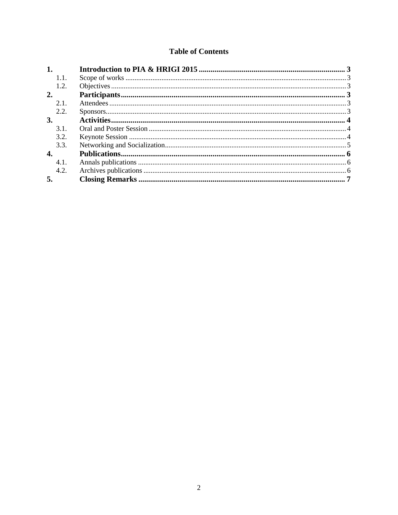## **Table of Contents**

| 1.   |  |
|------|--|
| 1.1. |  |
| 1.2. |  |
| 2.   |  |
| 2.1. |  |
| 2.2. |  |
| 3.   |  |
| 3.1. |  |
| 3.2. |  |
| 3.3. |  |
| 4.   |  |
| 4.1. |  |
| 4.2. |  |
| 5.   |  |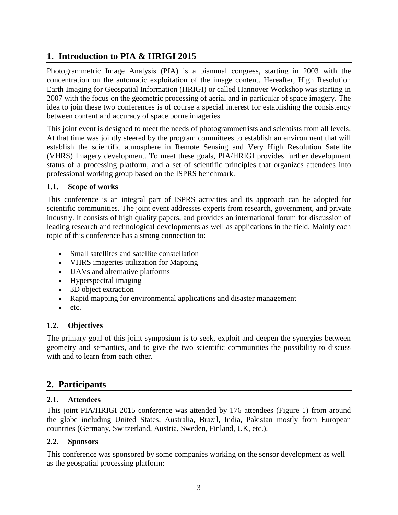# **1. Introduction to PIA & HRIGI 2015**

Photogrammetric Image Analysis (PIA) is a biannual congress, starting in 2003 with the concentration on the automatic exploitation of the image content. Hereafter, High Resolution Earth Imaging for Geospatial Information (HRIGI) or called Hannover Workshop was starting in 2007 with the focus on the geometric processing of aerial and in particular of space imagery. The idea to join these two conferences is of course a special interest for establishing the consistency between content and accuracy of space borne imageries.

This joint event is designed to meet the needs of photogrammetrists and scientists from all levels. At that time was jointly steered by the program committees to establish an environment that will establish the scientific atmosphere in Remote Sensing and Very High Resolution Satellite (VHRS) Imagery development. To meet these goals, PIA/HRIGI provides further development status of a processing platform, and a set of scientific principles that organizes attendees into professional working group based on the ISPRS benchmark.

## **1.1. Scope of works**

This conference is an integral part of ISPRS activities and its approach can be adopted for scientific communities. The joint event addresses experts from research, government, and private industry. It consists of high quality papers, and provides an international forum for discussion of leading research and technological developments as well as applications in the field. Mainly each topic of this conference has a strong connection to:

- Small satellites and satellite constellation
- VHRS imageries utilization for Mapping
- UAVs and alternative platforms
- Hyperspectral imaging
- 3D object extraction
- Rapid mapping for environmental applications and disaster management
- etc.

## **1.2. Objectives**

The primary goal of this joint symposium is to seek, exploit and deepen the synergies between geometry and semantics, and to give the two scientific communities the possibility to discuss with and to learn from each other.

## **2. Participants**

## **2.1. Attendees**

This joint PIA/HRIGI 2015 conference was attended by 176 attendees [\(Figure 1\)](#page-3-0) from around the globe including United States, Australia, Brazil, India, Pakistan mostly from European countries (Germany, Switzerland, Austria, Sweden, Finland, UK, etc.).

## **2.2. Sponsors**

This conference was sponsored by some companies working on the sensor development as well as the geospatial processing platform: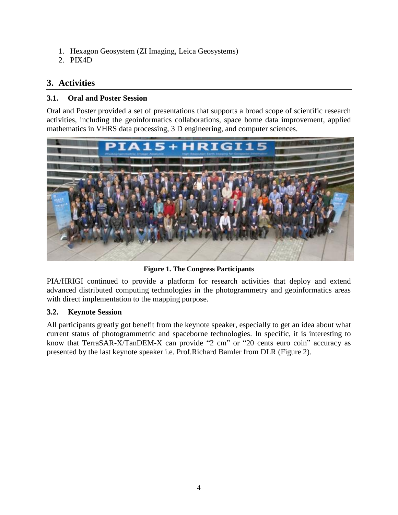- 1. Hexagon Geosystem (ZI Imaging, Leica Geosystems)
- 2. PIX4D

# **3. Activities**

# **3.1. Oral and Poster Session**

Oral and Poster provided a set of presentations that supports a broad scope of scientific research activities, including the geoinformatics collaborations, space borne data improvement, applied mathematics in VHRS data processing, 3 D engineering, and computer sciences.



**Figure 1. The Congress Participants**

<span id="page-3-0"></span>PIA/HRIGI continued to provide a platform for research activities that deploy and extend advanced distributed computing technologies in the photogrammetry and geoinformatics areas with direct implementation to the mapping purpose.

## **3.2. Keynote Session**

All participants greatly got benefit from the keynote speaker, especially to get an idea about what current status of photogrammetric and spaceborne technologies. In specific, it is interesting to know that TerraSAR-X/TanDEM-X can provide "2 cm" or "20 cents euro coin" accuracy as presented by the last keynote speaker i.e. Prof.Richard Bamler from DLR [\(Figure 2\)](#page-4-0).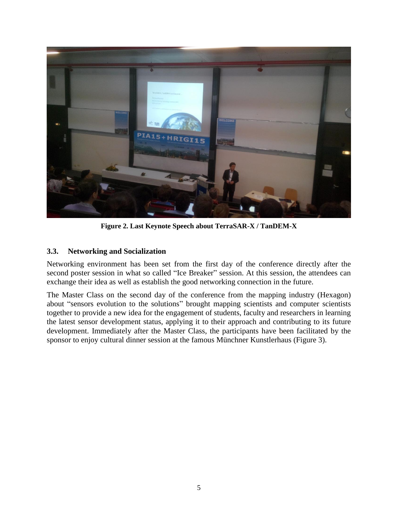

**Figure 2. Last Keynote Speech about TerraSAR-X / TanDEM-X**

## <span id="page-4-0"></span>**3.3. Networking and Socialization**

Networking environment has been set from the first day of the conference directly after the second poster session in what so called "Ice Breaker" session. At this session, the attendees can exchange their idea as well as establish the good networking connection in the future.

The Master Class on the second day of the conference from the mapping industry (Hexagon) about "sensors evolution to the solutions" brought mapping scientists and computer scientists together to provide a new idea for the engagement of students, faculty and researchers in learning the latest sensor development status, applying it to their approach and contributing to its future development. Immediately after the Master Class, the participants have been facilitated by the sponsor to enjoy cultural dinner session at the famous Münchner Kunstlerhaus [\(Figure 3\)](#page-5-0).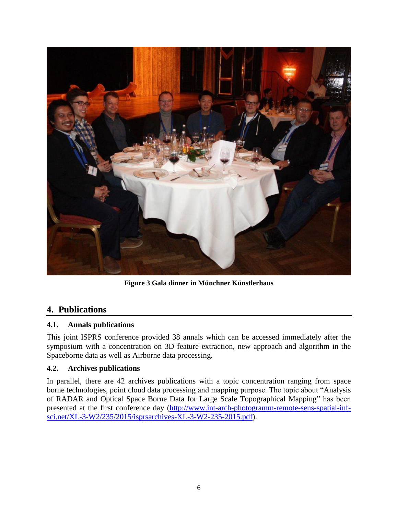

**Figure 3 Gala dinner in Münchner Künstlerhaus**

## <span id="page-5-0"></span>**4. Publications**

## **4.1. Annals publications**

This joint ISPRS conference provided 38 annals which can be accessed immediately after the symposium with a concentration on 3D feature extraction, new approach and algorithm in the Spaceborne data as well as Airborne data processing.

## **4.2. Archives publications**

In parallel, there are 42 archives publications with a topic concentration ranging from space borne technologies, point cloud data processing and mapping purpose. The topic about "Analysis of RADAR and Optical Space Borne Data for Large Scale Topographical Mapping" has been presented at the first conference day [\(http://www.int-arch-photogramm-remote-sens-spatial-inf](http://www.int-arch-photogramm-remote-sens-spatial-inf-sci.net/XL-3-W2/235/2015/isprsarchives-XL-3-W2-235-2015.pdf)[sci.net/XL-3-W2/235/2015/isprsarchives-XL-3-W2-235-2015.pdf\)](http://www.int-arch-photogramm-remote-sens-spatial-inf-sci.net/XL-3-W2/235/2015/isprsarchives-XL-3-W2-235-2015.pdf).